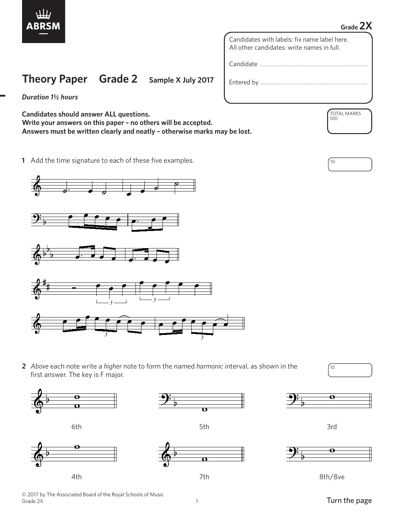

## **Grade 2X**

Candidates with labels: fix name label here. All other candidates: write names in full.

Candidate …………………………………………………………

Entered by …………………………………………………………

*Duration 1½ hours*

**Candidates should answer ALL questions. Write your answers on this paper – no others will be accepted. Answers must be written clearly and neatly – otherwise marks may be lost.**

**Theory Paper Grade 2 Sample X July 2017**

**1** Add the time signature to each of these five examples. <sup>10</sup>



**2** *Above* each note write a *higher* note to form the named *harmonic* interval, as shown in the first answer. The key is F major.







6th 5th 3rd 6th 3rd



 $\mathbf{c}$ 



1

 $\ddot{\mathbf{\Theta}}$ 

TOTAL MARKS 100



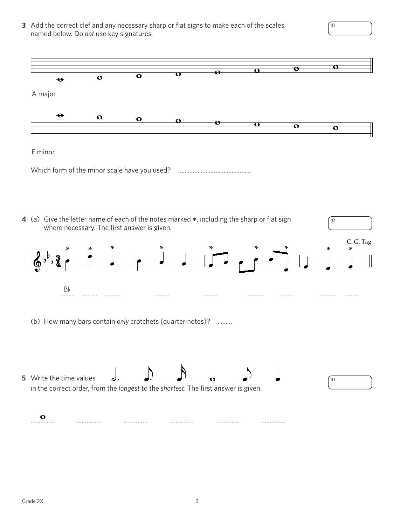**3** Add the correct clef and any necessary sharp or flat signs to make each of the scales  $10$ named below. Do *not* use key signatures.  $\overline{\mathbf{O}}$  $\overline{\mathbf{e}}$  $\overline{\mathbf{o}}$  $\overline{\mathbf{e}}$  $\overline{\mathbf{o}}$  $\overline{\mathbf{e}}$  $\overline{\mathbf{O}}$ A major A major  A major  $\boldsymbol{\Theta}$  $\boldsymbol{\Omega}$  $\ddot{\boldsymbol{\Theta}}$  $\mathbf{o}$ Å  $\overline{\mathbf{o}}$  $\overline{\mathbf{e}}$  $\overline{\mathbf{o}}$ E minor  E minor Which form of the minor scale have you used? …………………………………………………………………………………………… **4** (a) Give the letter name of each of the notes marked \*, including the sharp or flat sign  $10<sup>°</sup>$  where necessary. The first answer is given. C. G. Tag **\* \* \* \* \* \* \* \* \*** ....... Bb ……… ……… ……… ……… ……… ……… ……… ……… ……… (b) How many bars contain *only* crotchets (quarter notes)? ……… **5** Write the time values 10 in the correct order, from the *longest* to the *shortest*. The first answer is given. in the correct order, from the *longest* to the *shortest*. The first answer is given. in the correct order, from the *longest* to the *shortest*. The first answer is given. …………… …………… …………… …………… …………… …………… ............ ............ ............ ............ ............ ............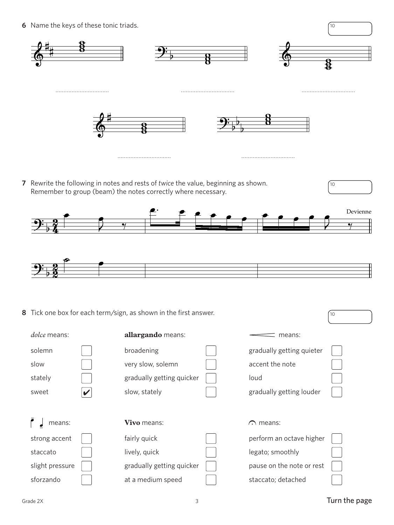**6** Name the keys of these tonic triads. <sup>10</sup>



**7** Rewrite the following in notes and rests of *twice* the value, beginning as shown. Remember to group (beam) the notes correctly where necessary.





**8** Tick one box for each term/sign, as shown in the first answer.  $\sqrt{10}$ 

| dolce means:    | allargando means:         | means:                    |
|-----------------|---------------------------|---------------------------|
| solemn          | broadening                | gradually getting quieter |
| slow            | very slow, solemn         | accent the note           |
| stately         | gradually getting quicker | loud                      |
| sweet<br>V      | slow, stately             | gradually getting louder  |
|                 |                           |                           |
|                 |                           |                           |
| means:          | Vivo means:               | $\bigcap$ means:          |
| strong accent   | fairly quick              | perform an octave higher  |
| staccato        | lively, quick             | legato; smoothly          |
| slight pressure | gradually getting quicker | pause on the note or rest |

10